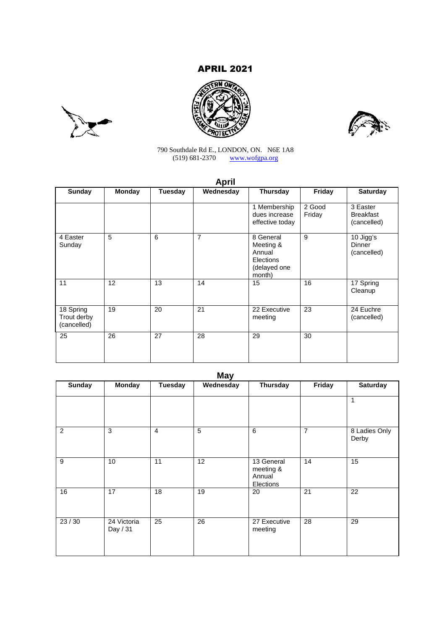# APRIL 2021







790 Southdale Rd E., LONDON, ON. N6E 1A8 (519) 681-2370 www.wofgpa.org

| ۰. |  |  |
|----|--|--|

| Sunday                                  | <b>Monday</b>   | <b>Tuesday</b> | Wednesday | <b>Thursday</b>                                                         | Friday           | <b>Saturday</b>                             |
|-----------------------------------------|-----------------|----------------|-----------|-------------------------------------------------------------------------|------------------|---------------------------------------------|
|                                         |                 |                |           | 1 Membership<br>dues increase<br>effective today                        | 2 Good<br>Friday | 3 Easter<br><b>Breakfast</b><br>(cancelled) |
| 4 Easter<br>Sunday                      | 5               | 6              | 7         | 8 General<br>Meeting &<br>Annual<br>Elections<br>(delayed one<br>month) | 9                | 10 Jigg's<br><b>Dinner</b><br>(cancelled)   |
| 11                                      | 12 <sup>2</sup> | 13             | 14        | 15                                                                      | 16               | 17 Spring<br>Cleanup                        |
| 18 Spring<br>Trout derby<br>(cancelled) | 19              | 20             | 21        | 22 Executive<br>meeting                                                 | 23               | 24 Euchre<br>(cancelled)                    |
| 25                                      | 26              | 27             | 28        | 29                                                                      | 30               |                                             |

| <b>Sunday</b> | <b>Monday</b>           | <b>Tuesday</b> | Wednesday | <b>Thursday</b>                                | Friday         | <b>Saturday</b>        |
|---------------|-------------------------|----------------|-----------|------------------------------------------------|----------------|------------------------|
|               |                         |                |           |                                                |                | 1                      |
| 2             | 3                       | $\overline{4}$ | 5         | 6                                              | $\overline{7}$ | 8 Ladies Only<br>Derby |
| 9             | 10                      | 11             | 12        | 13 General<br>meeting &<br>Annual<br>Elections | 14             | 15                     |
| 16            | 17                      | 18             | 19        | 20                                             | 21             | 22                     |
| 23/30         | 24 Victoria<br>Day / 31 | 25             | 26        | 27 Executive<br>meeting                        | 28             | 29                     |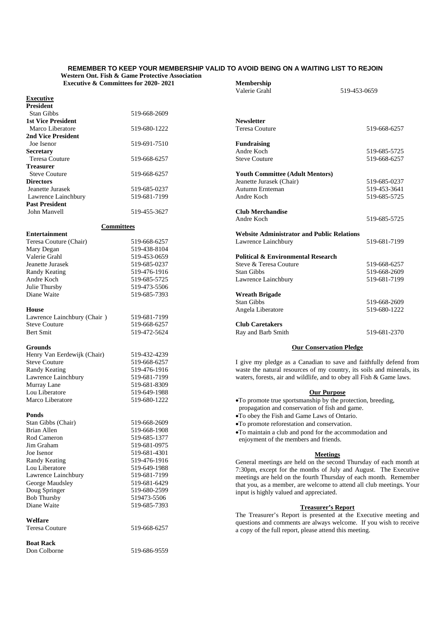#### **REMEMBER TO KEEP YOUR MEMBERSHIP VALID TO AVOID BEING ON A WAITING LIST TO REJOIN Western Ont. Fish & Game Protective Association**

**Executive & Committees for 2020- 2021**

| <b>Executive &amp; Committees for 2020-2021</b> |                              | Membership                                                                                                                                  |              |
|-------------------------------------------------|------------------------------|---------------------------------------------------------------------------------------------------------------------------------------------|--------------|
|                                                 |                              | Valerie Grahl                                                                                                                               | 519-453-0659 |
| <b>Executive</b>                                |                              |                                                                                                                                             |              |
| <b>President</b>                                |                              |                                                                                                                                             |              |
| Stan Gibbs                                      | 519-668-2609                 |                                                                                                                                             |              |
| <b>1st Vice President</b>                       |                              | <b>Newsletter</b>                                                                                                                           |              |
| Marco Liberatore                                | 519-680-1222                 | <b>Teresa Couture</b>                                                                                                                       | 519-668-6257 |
| <b>2nd Vice President</b>                       |                              |                                                                                                                                             |              |
| Joe Isenor                                      | 519-691-7510                 | <b>Fundraising</b>                                                                                                                          |              |
| <b>Secretary</b>                                |                              | Andre Koch                                                                                                                                  | 519-685-5725 |
| Teresa Couture                                  | 519-668-6257                 | <b>Steve Couture</b>                                                                                                                        | 519-668-6257 |
| <b>Treasurer</b>                                |                              |                                                                                                                                             |              |
| <b>Steve Couture</b>                            | 519-668-6257                 | <b>Youth Committee (Adult Mentors)</b>                                                                                                      |              |
| <b>Directors</b>                                |                              | Jeanette Jurasek (Chair)                                                                                                                    | 519-685-0237 |
| Jeanette Jurasek                                | 519-685-0237                 | Autumn Ernteman                                                                                                                             | 519-453-3641 |
| Lawrence Lainchbury                             | 519-681-7199                 | Andre Koch                                                                                                                                  | 519-685-5725 |
| <b>Past President</b>                           |                              |                                                                                                                                             |              |
| John Manvell                                    | 519-455-3627                 | <b>Club Merchandise</b>                                                                                                                     |              |
|                                                 |                              | Andre Koch                                                                                                                                  | 519-685-5725 |
| <b>Committees</b>                               |                              |                                                                                                                                             |              |
| <b>Entertainment</b>                            |                              | <b>Website Administrator and Public Relations</b>                                                                                           |              |
| Teresa Couture (Chair)                          | 519-668-6257                 | Lawrence Lainchbury                                                                                                                         | 519-681-7199 |
| Mary Degan                                      | 519-438-8104                 |                                                                                                                                             |              |
| Valerie Grahl                                   | 519-453-0659                 | <b>Political &amp; Environmental Research</b>                                                                                               |              |
| Jeanette Jurasek                                | 519-685-0237                 | Steve & Teresa Couture                                                                                                                      | 519-668-6257 |
| <b>Randy Keating</b>                            | 519-476-1916                 | Stan Gibbs                                                                                                                                  | 519-668-2609 |
| Andre Koch                                      | 519-685-5725                 | Lawrence Lainchbury                                                                                                                         | 519-681-7199 |
| Julie Thursby                                   | 519-473-5506                 |                                                                                                                                             |              |
| Diane Waite                                     | 519-685-7393                 | <b>Wreath Brigade</b>                                                                                                                       |              |
|                                                 |                              | <b>Stan Gibbs</b>                                                                                                                           | 519-668-2609 |
| <b>House</b>                                    |                              | Angela Liberatore                                                                                                                           | 519-680-1222 |
| Lawrence Lainchbury (Chair)                     | 519-681-7199                 |                                                                                                                                             |              |
| <b>Steve Couture</b>                            | 519-668-6257                 | <b>Club Caretakers</b>                                                                                                                      |              |
| <b>Bert Smit</b>                                | 519-472-5624                 | Ray and Barb Smith                                                                                                                          | 519-681-2370 |
|                                                 |                              |                                                                                                                                             |              |
| <b>Grounds</b>                                  |                              | <b>Our Conservation Pledge</b>                                                                                                              |              |
| Henry Van Eerdewijk (Chair)                     | 519-432-4239                 |                                                                                                                                             |              |
| <b>Steve Couture</b>                            | 519-668-6257                 | I give my pledge as a Canadian to save and faithfully defend from<br>waste the natural resources of my country, its soils and minerals, its |              |
| <b>Randy Keating</b><br>Lawrence Lainchbury     | 519-476-1916<br>519-681-7199 |                                                                                                                                             |              |
|                                                 | 519-681-8309                 | waters, forests, air and wildlife, and to obey all Fish & Game laws.                                                                        |              |
| Murray Lane<br>Lou Liberatore                   | 519-649-1988                 |                                                                                                                                             |              |
| Marco Liberatore                                | 519-680-1222                 | <b>Our Purpose</b>                                                                                                                          |              |
|                                                 |                              | . To promote true sportsmanship by the protection, breeding,                                                                                |              |
| Ponds                                           |                              | propagation and conservation of fish and game.<br>•To obey the Fish and Game Laws of Ontario.                                               |              |
| Stan Gibbs (Chair)                              | 519-668-2609                 |                                                                                                                                             |              |
| Brian Allen                                     | 519-668-1908                 | •To promote reforestation and conservation.                                                                                                 |              |
| Rod Cameron                                     | 519-685-1377                 | •To maintain a club and pond for the accommodation and                                                                                      |              |
| Jim Graham                                      | 519-681-0975                 | enjoyment of the members and friends.                                                                                                       |              |
| Joe Isenor                                      | 519-681-4301                 |                                                                                                                                             |              |
| Randy Keating                                   | 519-476-1916                 | <b>Meetings</b>                                                                                                                             |              |
| Lou Liberatore                                  | 519-649-1988                 | General meetings are held on the second Thursday of each month at                                                                           |              |
| Lawrence Lainchbury                             | 519-681-7199                 | 7:30pm, except for the months of July and August. The Executive                                                                             |              |
| George Maudsley                                 | 519-681-6429                 | meetings are held on the fourth Thursday of each month. Remember                                                                            |              |
| Doug Springer                                   | 519-680-2599                 | that you, as a member, are welcome to attend all club meetings. Your                                                                        |              |
| <b>Bob Thursby</b>                              | 519473-5506                  | input is highly valued and appreciated.                                                                                                     |              |
| Diane Waite                                     | 519-685-7393                 |                                                                                                                                             |              |
|                                                 |                              | <b>Treasurer's Report</b>                                                                                                                   |              |
| Welfare                                         |                              | The Treasurer's Report is presented at the Executive meeting and                                                                            |              |
| Teresa Couture                                  | 519-668-6257                 | questions and comments are always welcome. If you wish to receive                                                                           |              |
|                                                 |                              | a copy of the full report, please attend this meeting.                                                                                      |              |
| <b>Boat Rack</b>                                |                              |                                                                                                                                             |              |
| Don Colborne                                    | 519-686-9559                 |                                                                                                                                             |              |
|                                                 |                              |                                                                                                                                             |              |
|                                                 |                              |                                                                                                                                             |              |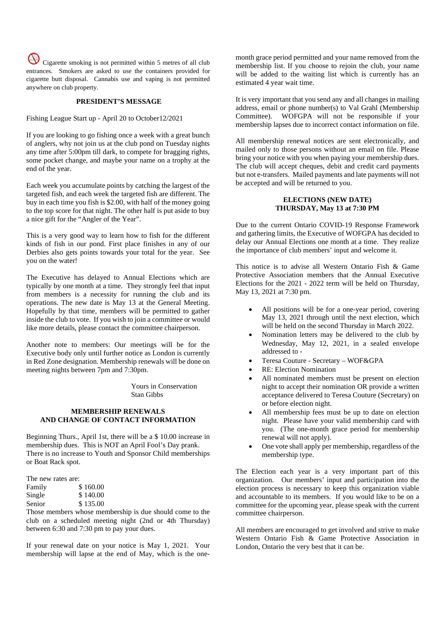Cigarette smoking is not permitted within 5 metres of all club entrances. Smokers are asked to use the containers provided for cigarette butt disposal. Cannabis use and vaping is not permitted anywhere on club property.

#### **PRESIDENT'S MESSAGE**

Fishing League Start up - April 20 to October12/2021

If you are looking to go fishing once a week with a great bunch of anglers, why not join us at the club pond on Tuesday nights any time after 5:00pm till dark, to compete for bragging rights, some pocket change, and maybe your name on a trophy at the end of the year.

Each week you accumulate points by catching the largest of the targeted fish, and each week the targeted fish are different. The buy in each time you fish is \$2.00, with half of the money going to the top score for that night. The other half is put aside to buy a nice gift for the "Angler of the Year".

This is a very good way to learn how to fish for the different kinds of fish in our pond. First place finishes in any of our Derbies also gets points towards your total for the year. See you on the water!

The Executive has delayed to Annual Elections which are typically by one month at a time. They strongly feel that input from members is a necessity for running the club and its operations. The new date is May 13 at the General Meeting. Hopefully by that time, members will be permitted to gather inside the club to vote. If you wish to join a committee or would like more details, please contact the committee chairperson.

Another note to members: Our meetings will be for the Executive body only until further notice as London is currently in Red Zone designation. Membership renewals will be done on meeting nights between 7pm and 7:30pm.

> Yours in Conservation Stan Gibbs

## **MEMBERSHIP RENEWALS AND CHANGE OF CONTACT INFORMATION**

Beginning Thurs., April 1st, there will be a \$ 10.00 increase in membership dues. This is NOT an April Fool's Day prank. There is no increase to Youth and Sponsor Child memberships or Boat Rack spot.

| The new rates are: |
|--------------------|
| \$160.00           |
| \$140.00           |
| \$135.00           |
|                    |

Those members whose membership is due should come to the club on a scheduled meeting night (2nd or 4th Thursday) between 6:30 and 7:30 pm to pay your dues.

If your renewal date on your notice is May 1, 2021. Your membership will lapse at the end of May, which is the one-

month grace period permitted and your name removed from the membership list. If you choose to rejoin the club, your name will be added to the waiting list which is currently has an estimated 4 year wait time.

It is very important that you send any and all changes in mailing address, email or phone number(s) to Val Grahl (Membership Committee). WOFGPA will not be responsible if your membership lapses due to incorrect contact information on file.

All membership renewal notices are sent electronically, and mailed only to those persons without an email on file. Please bring your notice with you when paying your membership dues. The club will accept cheques, debit and credit card payments but not e-transfers. Mailed payments and late payments will not be accepted and will be returned to you.

# **ELECTIONS (NEW DATE) THURSDAY, May 13 at 7:30 PM**

Due to the current Ontario COVID-19 Response Framework and gathering limits, the Executive of WOFGPA has decided to delay our Annual Elections one month at a time. They realize the importance of club members' input and welcome it.

This notice is to advise all Western Ontario Fish & Game Protective Association members that the Annual Executive Elections for the 2021 - 2022 term will be held on Thursday, May 13, 2021 at 7:30 pm.

- All positions will be for a one-year period, covering May 13, 2021 through until the next election, which will be held on the second Thursday in March 2022.
- Nomination letters may be delivered to the club by Wednesday, May 12, 2021, in a sealed envelope addressed to -
- Teresa Couture Secretary WOF&GPA
- RE: Election Nomination
- All nominated members must be present on election night to accept their nomination OR provide a written acceptance delivered to Teresa Couture (Secretary) on or before election night.
- All membership fees must be up to date on election night. Please have your valid membership card with you. (The one-month grace period for membership renewal will not apply).
- One vote shall apply per membership, regardless of the membership type.

The Election each year is a very important part of this organization. Our members' input and participation into the election process is necessary to keep this organization viable and accountable to its members. If you would like to be on a committee for the upcoming year, please speak with the current committee chairperson.

All members are encouraged to get involved and strive to make Western Ontario Fish & Game Protective Association in London, Ontario the very best that it can be.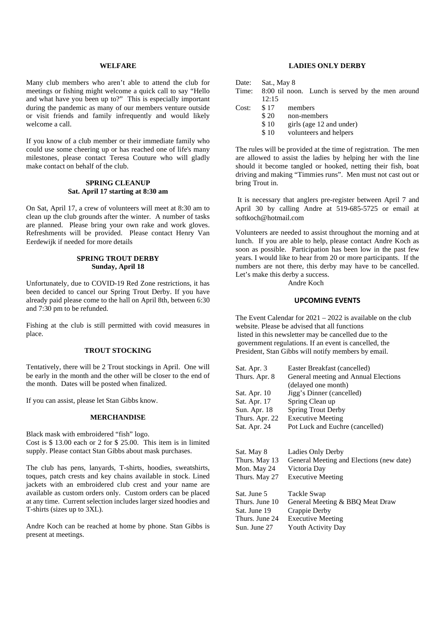#### **WELFARE**

Many club members who aren't able to attend the club for meetings or fishing might welcome a quick call to say "Hello and what have you been up to?" This is especially important during the pandemic as many of our members venture outside or visit friends and family infrequently and would likely welcome a call.

If you know of a club member or their immediate family who could use some cheering up or has reached one of life's many milestones, please contact Teresa Couture who will gladly make contact on behalf of the club.

## **SPRING CLEANUP Sat. April 17 starting at 8:30 am**

On Sat, April 17, a crew of volunteers will meet at 8:30 am to clean up the club grounds after the winter. A number of tasks are planned. Please bring your own rake and work gloves. Refreshments will be provided. Please contact Henry Van Eerdewijk if needed for more details

# **SPRING TROUT DERBY Sunday, April 18**

Unfortunately, due to COVID-19 Red Zone restrictions, it has been decided to cancel our Spring Trout Derby. If you have already paid please come to the hall on April 8th, between 6:30 and 7:30 pm to be refunded.

Fishing at the club is still permitted with covid measures in place.

## **TROUT STOCKING**

Tentatively, there will be 2 Trout stockings in April. One will be early in the month and the other will be closer to the end of the month. Dates will be posted when finalized.

If you can assist, please let Stan Gibbs know.

#### **MERCHANDISE**

Black mask with embroidered "fish" logo. Cost is \$ 13.00 each or 2 for \$ 25.00. This item is in limited supply. Please contact Stan Gibbs about mask purchases.

The club has pens, lanyards, T-shirts, hoodies, sweatshirts, toques, patch crests and key chains available in stock. Lined jackets with an embroidered club crest and your name are available as custom orders only. Custom orders can be placed at any time. Current selection includes larger sized hoodies and T-shirts (sizes up to 3XL).

Andre Koch can be reached at home by phone. Stan Gibbs is present at meetings.

# **LADIES ONLY DERBY**

| Date: | Sat., May 8 |                                                  |
|-------|-------------|--------------------------------------------------|
| Time: |             | 8:00 til noon. Lunch is served by the men around |
|       | 12:15       |                                                  |
| Cost: | \$17        | members                                          |
|       | \$20        | non-members                                      |
|       | \$10        | girls (age 12 and under)                         |
|       | \$10        | volunteers and helpers                           |
|       |             |                                                  |

The rules will be provided at the time of registration. The men are allowed to assist the ladies by helping her with the line should it become tangled or hooked, netting their fish, boat driving and making "Timmies runs". Men must not cast out or bring Trout in.

It is necessary that anglers pre-register between April 7 and April 30 by calling Andre at 519-685-5725 or email at softkoch@hotmail.com

Volunteers are needed to assist throughout the morning and at lunch. If you are able to help, please contact Andre Koch as soon as possible. Participation has been low in the past few years. I would like to hear from 20 or more participants. If the numbers are not there, this derby may have to be cancelled. Let's make this derby a success.

Andre Koch

#### **UPCOMING EVENTS**

The Event Calendar for 2021 – 2022 is available on the club website. Please be advised that all functions listed in this newsletter may be cancelled due to the government regulations. If an event is cancelled, the President, Stan Gibbs will notify members by email.

| Sat. Apr. 3    | Easter Breakfast (cancelled)             |
|----------------|------------------------------------------|
| Thurs. Apr. 8  | General meeting and Annual Elections     |
|                | (delayed one month)                      |
| Sat. Apr. 10   | Jigg's Dinner (cancelled)                |
| Sat. Apr. 17   | Spring Clean up                          |
| Sun. Apr. 18   | <b>Spring Trout Derby</b>                |
| Thurs. Apr. 22 | <b>Executive Meeting</b>                 |
| Sat. Apr. 24   | Pot Luck and Euchre (cancelled)          |
| Sat. May 8     | Ladies Only Derby                        |
| Thurs. May 13  | General Meeting and Elections (new date) |
| Mon. May 24    | Victoria Day                             |
| Thurs. May 27  | <b>Executive Meeting</b>                 |
|                |                                          |
| Sat. June 5    | Tackle Swap                              |
| Thurs. June 10 | General Meeting & BBQ Meat Draw          |
| Sat. June 19   | Crappie Derby                            |
| Thurs. June 24 | <b>Executive Meeting</b>                 |
| Sun. June 27   | <b>Youth Activity Day</b>                |